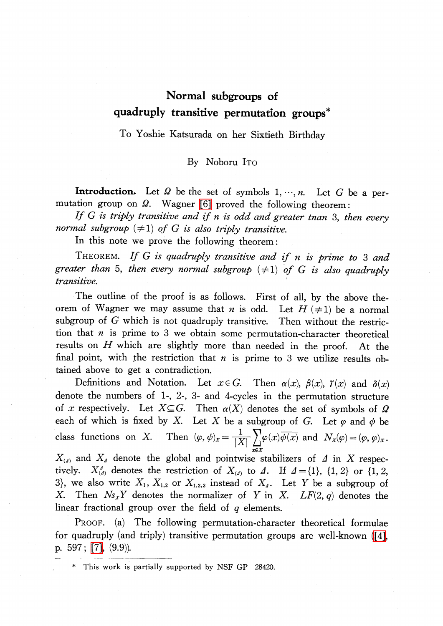## Normal subgroups of quadruply transitive permutation groups\*

To Yoshie Katsurada on her Sixtieth Birthday

By Noboru ITO

**Introduction.** Let  $\Omega$  be the set of symbols 1,  $\cdots$ , n. Let G be a permutation group on  $\Omega$ . Wagner [\[6\]](#page-5-0) proved the following theorem:

If  $G$  is triply transitive and if  $n$  is odd and greater tnan 3, then every normal subgroup  $(\neq 1)$  of G is also triply transitive.

In this note we prove the following theorem:

THEOREM. If G is quadruply transitive and if n is prime to 3 and greater than 5, then every normal subgroup  $(\neq 1)$  of G is also quadruply transitive.

The outline of the proof is as follows. First of all, by the above theorem of Wagner we may assume that *n* is odd. Let  $H(\neq 1)$  be a normal subgroup of G which is not quadruply transitive. Then without the restriction that  $n$  is prime to 3 we obtain some permutation-character theoretical results on H which are slightly more than needed in the proof. At the final point, with the restriction that  $n$  is prime to 3 we utilize results obtained above to get a contradiction.

Definitions and Notation. Let  $x \in G$ . Then  $\alpha(x)$ ,  $\beta(x)$ ,  $\gamma(x)$  and  $\delta(x)$ denote the numbers of 1-, 2-, 3- and 4-cycles in the permutation structure of x respectively. Let  $X \subseteq G$ . Then  $\alpha(X)$  denotes the set of symbols of  $\Omega$ each of which is fixed by X. Let X be a subgroup of G. Let  $\varphi$  and  $\varphi$  be class functions on X. Then  $(\varphi, \psi)_{x}=\frac{1}{|X|}\sum_{x}\varphi(x)\overline{\psi(x)}$  and  $N_{x}(\varphi)=(\varphi, \varphi)_{x}$ .

 $X_{(\Delta)}$  and  $X_{\Delta}$  denote the global and pointwise stabilizers of  $\Delta$  in X respectively.  $X_{(4)}^{A}$  denotes the restriction of  $X_{(4)}$  to  $\Delta$ . If  $\Delta=\{1\} , {\{1, 2\}}$  or  $\{1, 2,$ 3), we also write  $X_1, X_{1,2}$  or  $X_{1,2,3}$  instead of  $X_{\Delta}$ . Let Y be a subgroup of X. Then  $N_{s_X}Y$  denotes the normalizer of Y in X.  $LF(2, q)$  denotes the linear fractional group over the field of  $q$  elements.

PROOF. (a) The following permutation-character theoretical formulae for quadruply (and triply) transitive permutation groups are well-known [\(\[4\],](#page-5-1) p. 597; [\[7\],](#page-5-2) (9.9)).

This work is partially supported by NSF GP 28420.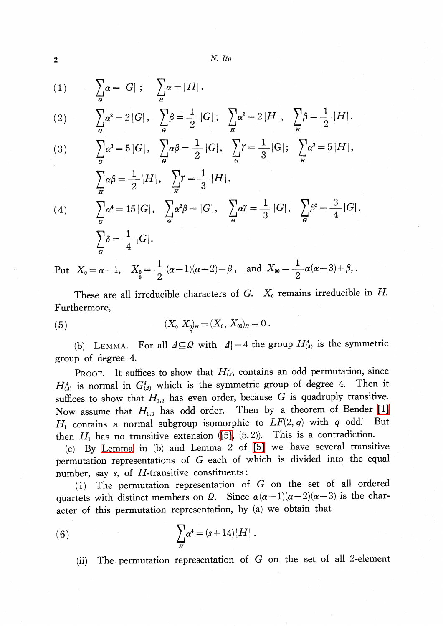(1) 
$$
\sum_{\alpha} \alpha = |G|; \quad \sum_{H} \alpha = |H|.
$$

(2) 
$$
\sum_{\mathbf{a}} \alpha^2 = 2 |G|, \quad \sum_{\mathbf{a}} \beta = \frac{1}{2} |G|; \quad \sum_{\mathbf{a}} \alpha^2 = 2 |H|, \quad \sum_{\mathbf{a}} \beta = \frac{1}{2} |H|.
$$

(3) 
$$
\sum_{a} \alpha^{3} = 5 |G|, \quad \sum_{a} \alpha \beta = \frac{1}{2} |G|, \quad \sum_{a} \gamma = \frac{1}{3} |G|; \quad \sum_{a} \alpha^{3} = 5 |H|,
$$

$$
\sum_{H} \alpha \beta = \frac{1}{2} |H|, \quad \sum_{H} \gamma = \frac{1}{3} |H|.
$$
\n
$$
(4) \qquad \sum_{G} \alpha^{4} = 15 |G|, \quad \sum_{G} \alpha^{2} \beta = |G|, \quad \sum_{G} \alpha \gamma = \frac{1}{3} |G|, \quad \sum_{G} \beta^{2} = \frac{3}{4} |G|,
$$
\n
$$
\sum_{G} \delta = \frac{1}{4} |G|.
$$

Put  $X_{0}=\alpha-1 ,$   $X_{0}=\frac{1}{2}(\alpha-1)(\alpha-2)-\beta$ , and  $X_{00}=\frac{1}{2}\alpha(\alpha-3)+\beta ,$ .

These are all irreducible characters of  $G$ .  $X_{0}$  remains irreducible in  $H$ . Furthermore,

(5) 
$$
(X_0 X_0)_H = (X_0, X_{00})_H = 0.
$$

<span id="page-1-0"></span>(b) LEMMA. For all  $\Delta\subseteq\Omega$  with  $|\Delta|=4$  the group  $H_{(\Delta)}^{\Delta}$  is the symmetric group of degree 4.

PROOF. It suffices to show that  $H_{(\Delta)}^{\Delta}$  contains an odd permutation, since  $H_{(\Delta)}^{\Delta}$  is normal in  $G_{(\Delta)}^{\Delta}$  which is the symmetric group of degree 4. Then it suffices to show that  $H_{1,2}$  has even order, because G is quadruply transitive. Now assume that  $H_{1,2}$  has odd order. Then by a theorem of Bender [\[1\]](#page-5-3)  $H_{1}$  contains a normal subgroup isomorphic to  $LF(2, q)$  with q odd. But then  $H_{1}$  has no transitive extension [\(\[5\],](#page-5-4) (5.2)). This is a contradiction.

(c) By [Lemma](#page-1-0) in (b) and Lemma 2 of [\[5\]](#page-5-4) we have several transitive permutation representations of G each of which is divided into the equal number, say  $s$ , of  $H$ -transitive constituents:

(i) The permutation representation of G on the set of all ordered quartets with distinct members on  $\Omega$ . Since  $\alpha(\alpha-1)(\alpha-2)(\alpha-3)$  is the character of this permutation representation, by (a) we obtain that

(6) 
$$
\sum_{H} \alpha^4 = (s+14)|H|.
$$

(ii) The permutation representation of G on the set of all 2-element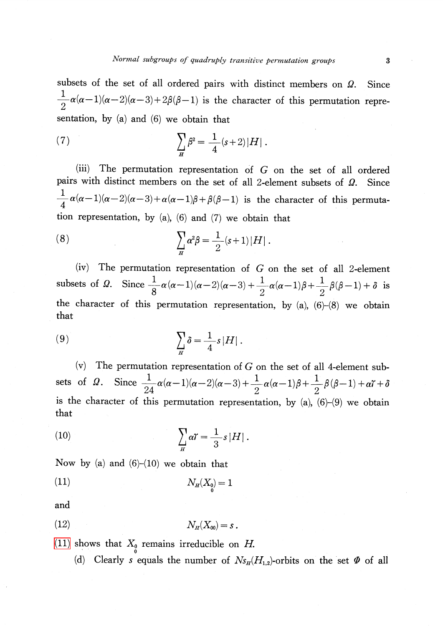subsets of the set of all ordered pairs with distinct members on  $\Omega$ . . Since  $\frac{1}{2}\alpha(\alpha-1)(\alpha-2)(\alpha-3)+2\beta(\beta-1)$  is the character of this permutation representation, by (a) and (6) we obtain that

(7) 
$$
\sum_{H} \beta^2 = \frac{1}{4} (s+2)|H|.
$$

(iii) The permutation representation of G on the set of all ordered pairs with distinct members on the set of all 2-element subsets of  $\Omega$ . . Since  $\frac{1}{4}\alpha(\alpha-1)(\alpha-2)(\alpha-3)+\alpha(\alpha-1)\beta+\beta(\beta-1)$  is the character of this permutation representation, by (a), (6) and (7) we obtain that

(8) 
$$
\sum_{H} \alpha^2 \beta = \frac{1}{2} (s+1) |H|.
$$

(iv) The permutation representation of  $G$  on the set of all 2-element subsets of  $\Omega$ . Since  $\frac{1}{8}\alpha(\alpha-1)(\alpha-2)(\alpha-3)+\frac{1}{8}\alpha(\alpha-1)\beta+\frac{1}{8}\beta(\beta-1)+\delta$  is the character of this permutation representation, by  $(a)$ ,  $(6)-(8)$  we obtain that

(9) 
$$
\sum_{H} \delta = \frac{1}{4} s |H|.
$$

(v) The permutation representation of G on the set of all 4-element subsets of  $\Omega$ . Since  $\frac{1}{24}\alpha(\alpha-1)(\alpha-2)(\alpha-3)+\frac{1}{2}\alpha(\alpha-1)\beta+\frac{1}{2}\beta(\beta-1)+\alpha\gamma+\delta$ is the character of this permutation representation, by  $(a)$ ,  $(6)-(9)$  we obtain that

<span id="page-2-2"></span>(10) 
$$
\sum_{H} \alpha \Upsilon = \frac{1}{3} s |H|.
$$

Now by (a) and  $(6)-(10)$  we obtain that

<span id="page-2-0"></span>(11)  $N_{H}(X_{0})=1$ 

and

<span id="page-2-1"></span>
$$
(12) \t\t N_H(X_{00}) = s.
$$

[\(11\)](#page-2-0) shows that  $X_{0}$  remains irreducible on H.

(d) Clearly s equals the number of  $N_{S_H}(H_{1,2})$ -orbits on the set  $\Phi$  of all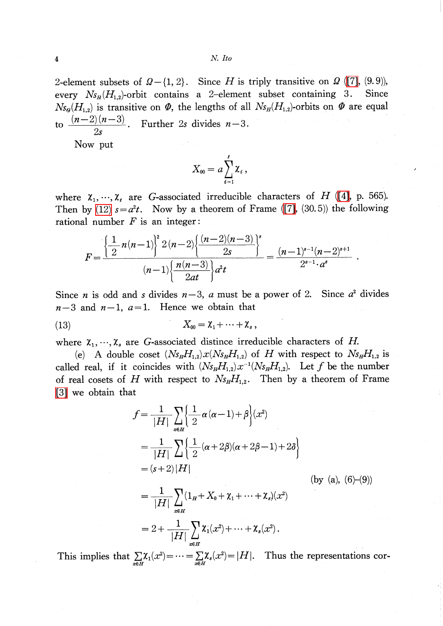2-element subsets of  $\Omega - \{1, 2\}$ . Since H is triply transitive on  $\Omega$  [\(\[7\],](#page-5-2) (9.9)), every  $N_{s_{H}}(H_{1,2})$ -orbit contains a 2-element subset containing 3. Since  $N_{\mathcal{S}_G}(H_{1,2})$  is transitive on  $\Phi$ , the lengths of all  $N_{\mathcal{S}_H}(H_{1,2})$ -orbits on  $\Phi$  are equal to  $\frac{(n-2)(n-3)}{2s}$ . Further 2s divides  $n-3$ .

Now put

$$
X_{00}=a\sum_{i=1}^t \mathbf{\chi}_i\,,
$$

where  $\chi_{1}, \ldots, \chi_{t}$  are G-associated irreducible characters of H [\(\[4\],](#page-5-1) p. 565). Then by [\(12\)](#page-2-1)  $s=a^{2}t$ . Now by a theorem of Frame [\(\[7\],](#page-5-2) (30.5)) the following rational number  $F$  is an integer:

$$
F = \frac{\left\{\frac{1}{2}n(n-1)\right\}^2 2(n-2)\left\{\frac{(n-2)(n-3)}{2s}\right\}^s}{(n-1)\left\{\frac{n(n-3)}{2at}\right\}a^2t} = \frac{(n-1)^{s-1}(n-2)^{s+1}}{2^{s-1}\cdot a^s}
$$

Since *n* is odd and *s* divides  $n-3$ , *a* must be a power of 2. Since  $a^{2}$  divides  $n-3$  and  $n-1$ ,  $a=1$ . Hence we obtain that

$$
(13) \t\t X_{00} = \mathcal{X}_1 + \cdots + \mathcal{X}_s,
$$

where  $\chi_{1}, \ldots, \chi_{s}$  are G-associated distince irreducible characters of H.

(e) A double coset  $(Ns_{H}H_{1,2})x(Ns_{H}H_{1,2})$  of H with respect to  $Ns_{H}H_{1,2}$  is called real, if it coincides with  $(N_{s_H}H_{1,2})x^{-1}(N_{s_H}H_{1,2})$ . Let f be the number<br>of real coosts of H with respect to  $N_s$  H Then by a theorem of Frame of real cosets of H with respect to  $N_{SH}H_{1,2}$ . Then by a theorem of Frame [\[3\]](#page-5-5) we obtain that

$$
f = \frac{1}{|H|} \sum_{x \in H} \left\{ \frac{1}{2} \alpha (\alpha - 1) + \beta \right\} (x^2)
$$
  
= 
$$
\frac{1}{|H|} \sum_{x \in H} \left\{ \frac{1}{2} (\alpha + 2\beta)(\alpha + 2\beta - 1) + 2\delta \right\}
$$
  
= 
$$
(s+2)|H|
$$
 (by (a), (6)-(9))  
= 
$$
\frac{1}{|H|} \sum_{x \in H} (1_H + X_0 + \chi_1 + \dots + \chi_s)(x^2)
$$
  
= 
$$
2 + \frac{1}{|H|} \sum_{x \in H} \chi_1(x^2) + \dots + \chi_s(x^2).
$$

This implies that  $\sum_{x\in H}\chi_{1}(x^{2})=\cdots=\sum_{x\in H}\chi_{s}(x^{2})=|H|$  . Thus the representations cor-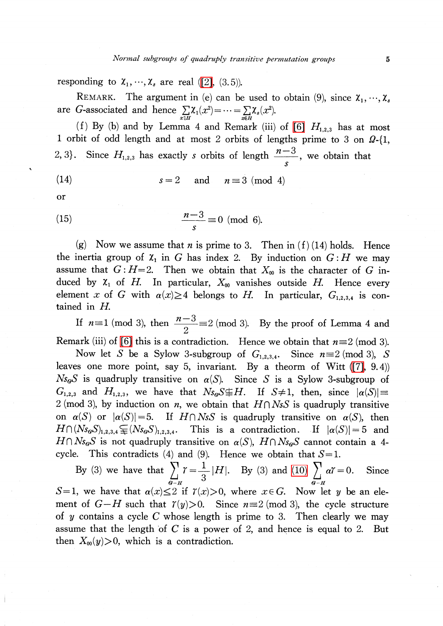responding to  $\chi_{1}, \ldots, \chi_{s}$  are real [\(\[2\],](#page-5-6) (3.5)).

REMARK. The argument in (e) can be used to obtain (9), since  $\chi_{1}, \ldots, \chi_{s}$ are G-associated and hence  $\sum_{x\in H}\chi_{1}(x^{2})=\cdots=\sum_{x\in H}\chi_{s}(x^{2})$ .

(f) By (b) and by Lemma 4 and Remark (iii) of [\[6\]](#page-5-0)  $H_{1,2,3}$  has at most 1 orbit of odd length and at most 2 orbits of lengths prime to 3 on  $\Omega$ -{1, 2, 3. Since  $H_{1,2,3}$  has exactly s orbits of length  $\frac{n-3}{n-2}$ , we obtain that s

$$
(14) \t s = 2 \t and \t n \equiv 3 \pmod{4}
$$

or

(15) 
$$
\frac{n-3}{s} \equiv 0 \pmod{6}.
$$

(g) Now we assume that *n* is prime to 3. Then in (f) (14) holds. Hence the inertia group of  $\chi_{1}$  in G has index 2. By induction on  $G:H$  we may assume that  $G: H=2$ . Then we obtain that  $X_{00}$  is the character of G induced by  $\chi_{1}$  of H. In particular,  $X_{00}$  vanishes outside H. Hence every element x of G with  $\alpha(x)\geq 4$  belongs to H. In particular,  $G_{1,2,3,4}$  is contained in H.

If  $n\equiv 1 \pmod{3}$ , then  $\frac{n-3}{2}\equiv 2 \pmod{3}$ . By the proof of Lemma 4 and Remark (iii) of [\[6\]](#page-5-0) this is a contradiction. Hence we obtain that  $n\equiv 2 \pmod 3$ .

Now let S be a Sylow 3-subgroup of  $G_{1,2,3,4}$ . Since  $n\equiv 2 \pmod 3$ , S leaves one more point, say 5, invariant. By a theorm of Witt [\(\[7\],](#page-5-2) 9.4))  $N s_{\bm{q}} S$  is quadruply transitive on  $\alpha(S)$ . Since S is a Sylow 3-subgroup of  $G_{1,2,3}$  and  $H_{1,2,3}$ , we have that  $N s_{G} S \not\equiv H$ . If  $S\neq 1$ , then, since  $|\alpha(S)| \equiv$ 2 (mod 3), by induction on *n*, we obtain that  $H\cap NsS$  is quadruply transitive on  $\alpha(S)$  or  $|\alpha(S)|=5$ . If  $H\cap NsS$  is quadruply transitive on  $\alpha(S)$ , then  $H\cap(N_{\mathcal{S}_G}S)_{1,2,3,4} \subsetneq (Ns_{G}S)_{1,2,3,4}.$  This is a contradiction. If  $|\alpha(S)|=5$  and  $H\cap N$ s $_{G}S$  is not quadruply transitive on  $\alpha(S),\ H\cap N$ s $_{G}S$  cannot contain a 4cycle. This contradicts (4) and (9). Hence we obtain that  $S=1$ .

By (3) we have that  $\sum_{G,H}\gamma=\frac{1}{3}|H|$ . By (3) and [\(10\)](#page-2-2)  $\sum_{G,H}\alpha\gamma=0$ . Since  $S=1$ , we have that  $\alpha(x)\leq 2$  if  $\gamma(x)>0$ , where  $x\in G$ . Now let y be an element of  $G-H$  such that  $\gamma(y)>0$ . Since  $n\equiv 2 \pmod{3}$ , the cycle structure of y contains a cycle C whose length is prime to 3. Then clearly we may assume that the length of  $C$  is a power of 2, and hence is equal to 2. But then  $X_{00}(y) > 0$ , which is a contradiction.